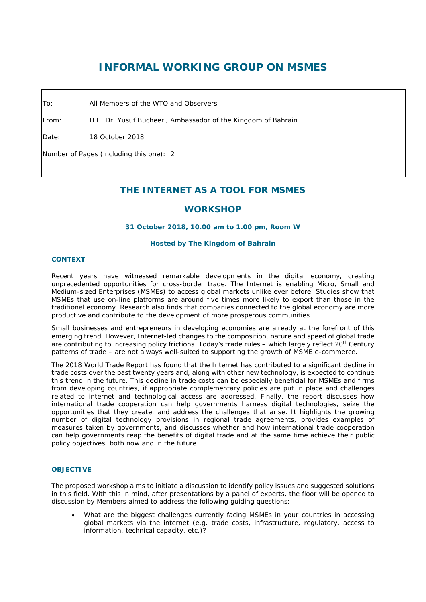# **INFORMAL WORKING GROUP ON MSMES**

To: All Members of the WTO and Observers

From: H.E. Dr. Yusuf Bucheeri, Ambassador of the Kingdom of Bahrain

Date: 18 October 2018

Number of Pages (including this one): 2

# **THE INTERNET AS A TOOL FOR MSMES**

# **WORKSHOP**

### **31 October 2018, 10.00 am to 1.00 pm, Room W**

#### **Hosted by The Kingdom of Bahrain**

#### **CONTEXT**

Recent years have witnessed remarkable developments in the digital economy, creating unprecedented opportunities for cross-border trade. The Internet is enabling Micro, Small and Medium-sized Enterprises (MSMEs) to access global markets unlike ever before. Studies show that MSMEs that use on-line platforms are around five times more likely to export than those in the traditional economy. Research also finds that companies connected to the global economy are more productive and contribute to the development of more prosperous communities.

Small businesses and entrepreneurs in developing economies are already at the forefront of this emerging trend. However, Internet-led changes to the composition, nature and speed of global trade are contributing to increasing policy frictions. Today's trade rules – which largely reflect 20th Century patterns of trade – are not always well-suited to supporting the growth of MSME e-commerce.

The 2018 World Trade Report has found that the Internet has contributed to a significant decline in trade costs over the past twenty years and, along with other new technology, is expected to continue this trend in the future. This decline in trade costs can be especially beneficial for MSMEs and firms from developing countries, if appropriate complementary policies are put in place and challenges related to internet and technological access are addressed. Finally, the report discusses how international trade cooperation can help governments harness digital technologies, seize the opportunities that they create, and address the challenges that arise. It highlights the growing number of digital technology provisions in regional trade agreements, provides examples of measures taken by governments, and discusses whether and how international trade cooperation can help governments reap the benefits of digital trade and at the same time achieve their public policy objectives, both now and in the future.

### **OBJECTIVE**

The proposed workshop aims to initiate a discussion to identify policy issues and suggested solutions in this field. With this in mind, after presentations by a panel of experts, the floor will be opened to discussion by Members aimed to address the following guiding questions:

What are the biggest challenges currently facing MSMEs in your countries in accessing global markets via the internet (e.g. trade costs, infrastructure, regulatory, access to information, technical capacity, etc.)?